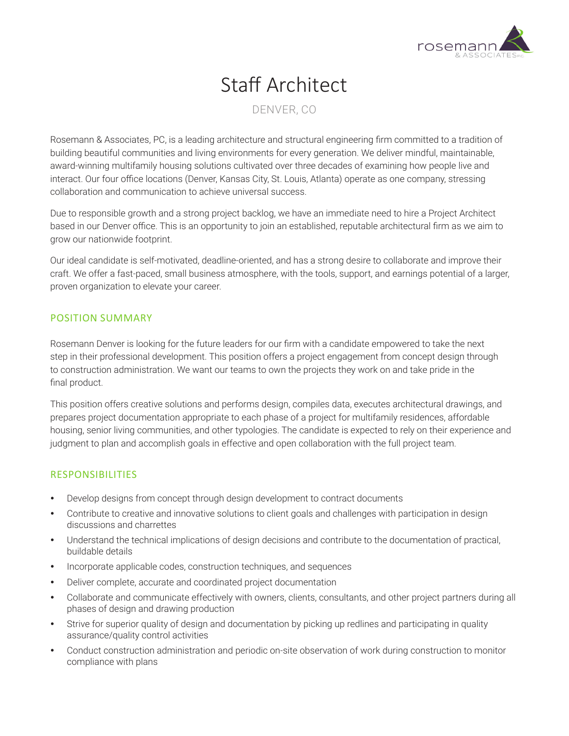

# Staff Architect

# DENVER, CO

Rosemann & Associates, PC, is a leading architecture and structural engineering firm committed to a tradition of building beautiful communities and living environments for every generation. We deliver mindful, maintainable, award-winning multifamily housing solutions cultivated over three decades of examining how people live and interact. Our four office locations (Denver, Kansas City, St. Louis, Atlanta) operate as one company, stressing collaboration and communication to achieve universal success.

Due to responsible growth and a strong project backlog, we have an immediate need to hire a Project Architect based in our Denver office. This is an opportunity to join an established, reputable architectural firm as we aim to grow our nationwide footprint.

Our ideal candidate is self-motivated, deadline-oriented, and has a strong desire to collaborate and improve their craft. We offer a fast-paced, small business atmosphere, with the tools, support, and earnings potential of a larger, proven organization to elevate your career.

#### POSITION SUMMARY

Rosemann Denver is looking for the future leaders for our firm with a candidate empowered to take the next step in their professional development. This position offers a project engagement from concept design through to construction administration. We want our teams to own the projects they work on and take pride in the final product.

This position offers creative solutions and performs design, compiles data, executes architectural drawings, and prepares project documentation appropriate to each phase of a project for multifamily residences, affordable housing, senior living communities, and other typologies. The candidate is expected to rely on their experience and judgment to plan and accomplish goals in effective and open collaboration with the full project team.

## RESPONSIBILITIES

- Develop designs from concept through design development to contract documents
- Contribute to creative and innovative solutions to client goals and challenges with participation in design discussions and charrettes
- Understand the technical implications of design decisions and contribute to the documentation of practical, buildable details
- Incorporate applicable codes, construction techniques, and sequences
- Deliver complete, accurate and coordinated project documentation
- Collaborate and communicate effectively with owners, clients, consultants, and other project partners during all phases of design and drawing production
- Strive for superior quality of design and documentation by picking up redlines and participating in quality assurance/quality control activities
- Conduct construction administration and periodic on-site observation of work during construction to monitor compliance with plans